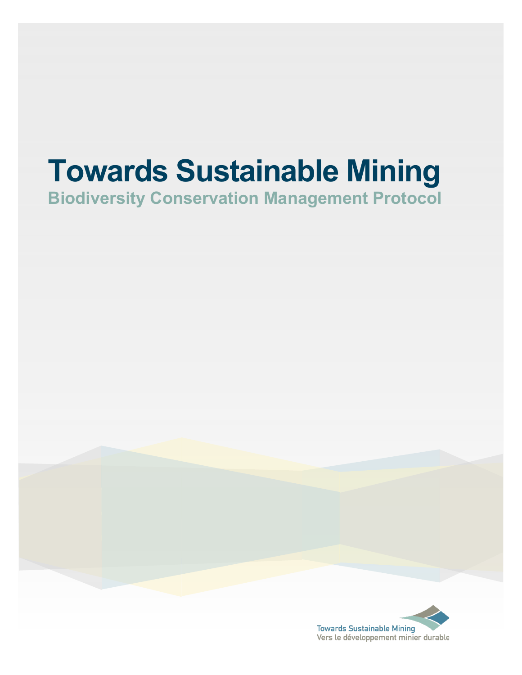# **Towards Sustainable Mining**

**Biodiversity Conservation Management Protocol**

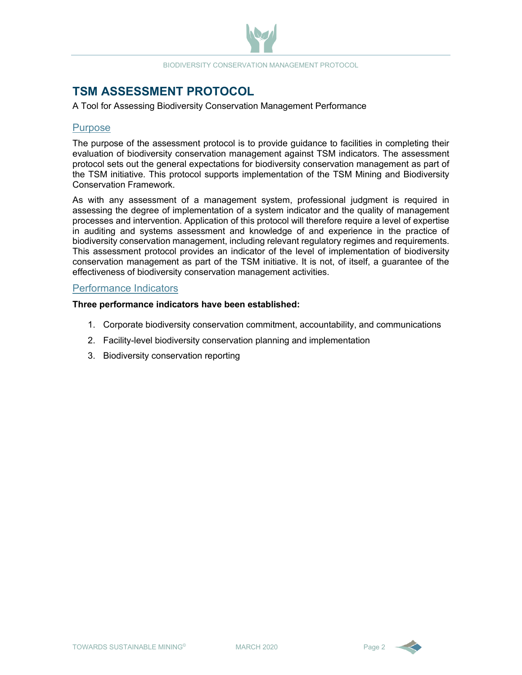**TSM ASSESSMENT PROTOCOL**<br>A Tool for Assessing Biodiversity Conservation Management Performance

#### **Purpose**

The purpose of the assessment protocol is to provide guidance to facilities in completing their evaluation of biodiversity conservation management against TSM indicators. The assessment protocol sets out the general expectations for biodiversity conservation management as part of the TSM initiative. This protocol supports implementation of the TSM Mining and Biodiversity Conservation Framework.

As with any assessment of a management system, professional judgment is required in assessing the degree of implementation of a system indicator and the quality of management processes and intervention. Application of this protocol will therefore require a level of expertise in auditing and systems assessment and knowledge of and experience in the practice of biodiversity conservation management, including relevant regulatory regimes and requirements. This assessment protocol provides an indicator of the level of implementation of biodiversity conservation management as part of the TSM initiative. It is not, of itself, a guarantee of the effectiveness of biodiversity conservation management activities.

#### Performance Indicators

#### **Three performance indicators have been established:**

- 1. Corporate biodiversity conservation commitment, accountability, and communications
- 2. Facility-level biodiversity conservation planning and implementation
- 3. Biodiversity conservation reporting

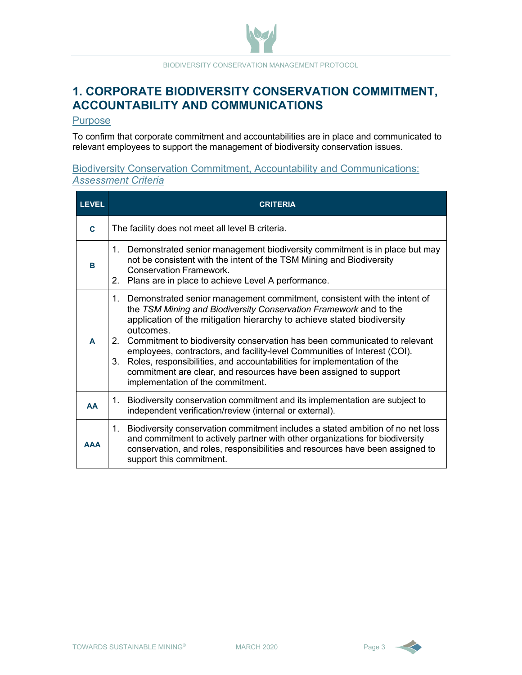# **1. CORPORATE BIODIVERSITY CONSERVATION COMMITMENT, ACCOUNTABILITY AND COMMUNICATIONS**

#### Purpose

To confirm that corporate commitment and accountabilities are in place and communicated to relevant employees to support the management of biodiversity conservation issues.

### Biodiversity Conservation Commitment, Accountability and Communications: *Assessment Criteria*

| <b>LEVEL</b> | <b>CRITERIA</b>                                                                                                                                                                                                                                                                                                                                                                                                                                                                                                                                                                                    |
|--------------|----------------------------------------------------------------------------------------------------------------------------------------------------------------------------------------------------------------------------------------------------------------------------------------------------------------------------------------------------------------------------------------------------------------------------------------------------------------------------------------------------------------------------------------------------------------------------------------------------|
| C            | The facility does not meet all level B criteria.                                                                                                                                                                                                                                                                                                                                                                                                                                                                                                                                                   |
| в            | 1. Demonstrated senior management biodiversity commitment is in place but may<br>not be consistent with the intent of the TSM Mining and Biodiversity<br><b>Conservation Framework</b><br>Plans are in place to achieve Level A performance.<br>2.                                                                                                                                                                                                                                                                                                                                                 |
| A            | Demonstrated senior management commitment, consistent with the intent of<br>1.<br>the TSM Mining and Biodiversity Conservation Framework and to the<br>application of the mitigation hierarchy to achieve stated biodiversity<br>outcomes.<br>2. Commitment to biodiversity conservation has been communicated to relevant<br>employees, contractors, and facility-level Communities of Interest (COI).<br>Roles, responsibilities, and accountabilities for implementation of the<br>3.<br>commitment are clear, and resources have been assigned to support<br>implementation of the commitment. |
| <b>AA</b>    | Biodiversity conservation commitment and its implementation are subject to<br>1.<br>independent verification/review (internal or external).                                                                                                                                                                                                                                                                                                                                                                                                                                                        |
| <b>AAA</b>   | Biodiversity conservation commitment includes a stated ambition of no net loss<br>1.<br>and commitment to actively partner with other organizations for biodiversity<br>conservation, and roles, responsibilities and resources have been assigned to<br>support this commitment.                                                                                                                                                                                                                                                                                                                  |

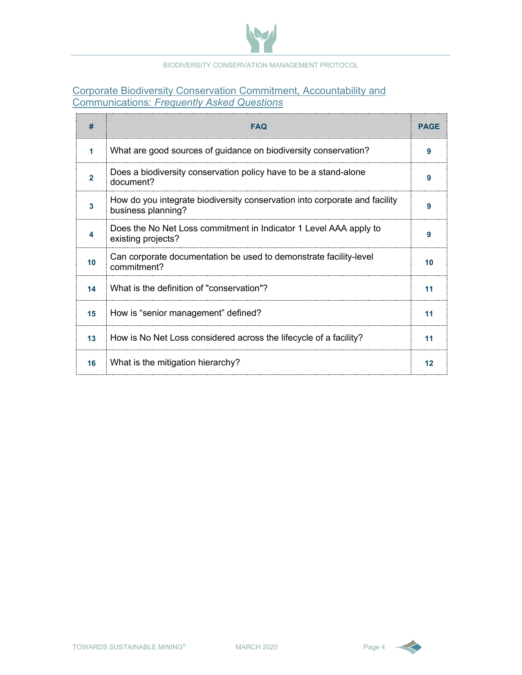

### Corporate Biodiversity Conservation Commitment, Accountability and Communications: *Frequently Asked Questions*

| #              | <b>FAQ</b>                                                                                       | <b>PAGE</b> |
|----------------|--------------------------------------------------------------------------------------------------|-------------|
| 1              | What are good sources of guidance on biodiversity conservation?                                  | 9           |
| $\overline{2}$ | Does a biodiversity conservation policy have to be a stand-alone<br>document?                    | 9           |
| 3              | How do you integrate biodiversity conservation into corporate and facility<br>business planning? | 9           |
| 4              | Does the No Net Loss commitment in Indicator 1 Level AAA apply to<br>existing projects?          | 9           |
| 10             | Can corporate documentation be used to demonstrate facility-level<br>commitment?                 | 10          |
| 14             | What is the definition of "conservation"?                                                        | 11          |
| 15             | How is "senior management" defined?                                                              | 11          |
| 13             | How is No Net Loss considered across the lifecycle of a facility?                                | 11          |
| 16             | What is the mitigation hierarchy?                                                                | 12          |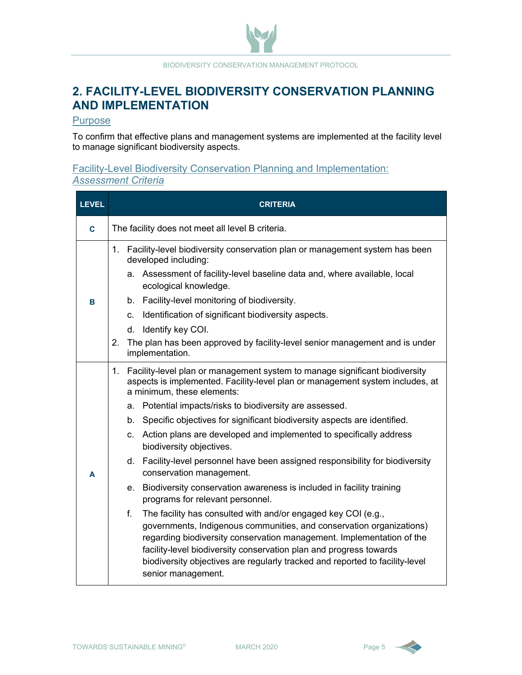# **2. FACILITY-LEVEL BIODIVERSITY CONSERVATION PLANNING AND IMPLEMENTATION**

#### Purpose

To confirm that effective plans and management systems are implemented at the facility level to manage significant biodiversity aspects.

### Facility-Level Biodiversity Conservation Planning and Implementation: *Assessment Criteria*

| <b>LEVEL</b> | <b>CRITERIA</b>                                                                                                                                                                                                                                                                                                                                                                                                                                            |                                                                                                                                                                                                                                                                                                                                                                                                                                                                                                                                                                                                                                                                                                                                                                                                                                                                                                                                                                                                                                                                                |  |  |  |  |
|--------------|------------------------------------------------------------------------------------------------------------------------------------------------------------------------------------------------------------------------------------------------------------------------------------------------------------------------------------------------------------------------------------------------------------------------------------------------------------|--------------------------------------------------------------------------------------------------------------------------------------------------------------------------------------------------------------------------------------------------------------------------------------------------------------------------------------------------------------------------------------------------------------------------------------------------------------------------------------------------------------------------------------------------------------------------------------------------------------------------------------------------------------------------------------------------------------------------------------------------------------------------------------------------------------------------------------------------------------------------------------------------------------------------------------------------------------------------------------------------------------------------------------------------------------------------------|--|--|--|--|
| $\mathbf{C}$ |                                                                                                                                                                                                                                                                                                                                                                                                                                                            | The facility does not meet all level B criteria.                                                                                                                                                                                                                                                                                                                                                                                                                                                                                                                                                                                                                                                                                                                                                                                                                                                                                                                                                                                                                               |  |  |  |  |
| B            | Facility-level biodiversity conservation plan or management system has been<br>1.<br>developed including:<br>a. Assessment of facility-level baseline data and, where available, local<br>ecological knowledge.<br>b. Facility-level monitoring of biodiversity.<br>c. Identification of significant biodiversity aspects.<br>d. Identify key COI.<br>The plan has been approved by facility-level senior management and is under<br>2.<br>implementation. |                                                                                                                                                                                                                                                                                                                                                                                                                                                                                                                                                                                                                                                                                                                                                                                                                                                                                                                                                                                                                                                                                |  |  |  |  |
| A            | 1.                                                                                                                                                                                                                                                                                                                                                                                                                                                         | Facility-level plan or management system to manage significant biodiversity<br>aspects is implemented. Facility-level plan or management system includes, at<br>a minimum, these elements:<br>Potential impacts/risks to biodiversity are assessed.<br>a.<br>b. Specific objectives for significant biodiversity aspects are identified.<br>c. Action plans are developed and implemented to specifically address<br>biodiversity objectives.<br>d. Facility-level personnel have been assigned responsibility for biodiversity<br>conservation management.<br>e. Biodiversity conservation awareness is included in facility training<br>programs for relevant personnel.<br>f.<br>The facility has consulted with and/or engaged key COI (e.g.,<br>governments, Indigenous communities, and conservation organizations)<br>regarding biodiversity conservation management. Implementation of the<br>facility-level biodiversity conservation plan and progress towards<br>biodiversity objectives are regularly tracked and reported to facility-level<br>senior management. |  |  |  |  |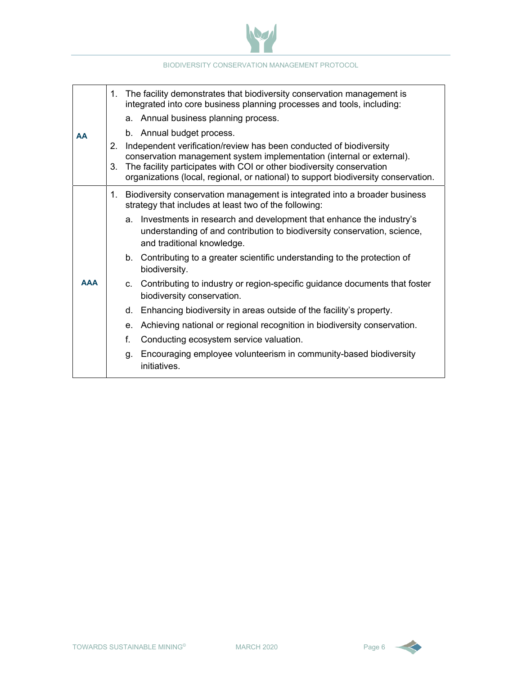

### 1. The facility demonstrates that biodiversity conservation management is integrated into core business planning processes and tools, including: a. Annual business planning process. b. Annual budget process. 2. Independent verification/review has been conducted of biodiversity conservation management system implementation (internal or external). 3. The facility participates with COI or other biodiversity conservation organizations (local, regional, or national) to support biodiversity conservation. **AAA** 1. Biodiversity conservation management is integrated into a broader business strategy that includes at least two of the following: a. Investments in research and development that enhance the industry's understanding of and contribution to biodiversity conservation, science, and traditional knowledge. b. Contributing to a greater scientific understanding to the protection of biodiversity. c. Contributing to industry or region-specific guidance documents that foster

d. Enhancing biodiversity in areas outside of the facility's property.

e. Achieving national or regional recognition in biodiversity conservation.

g. Encouraging employee volunteerism in community-based biodiversity

biodiversity conservation.

initiatives.

f. Conducting ecosystem service valuation.

#### BIODIVERSITY CONSERVATION MANAGEMENT PROTOCOL

TOWARDS SUSTAINABLE MINING<sup>®</sup> MARCH 2020 Page 6

**AA**

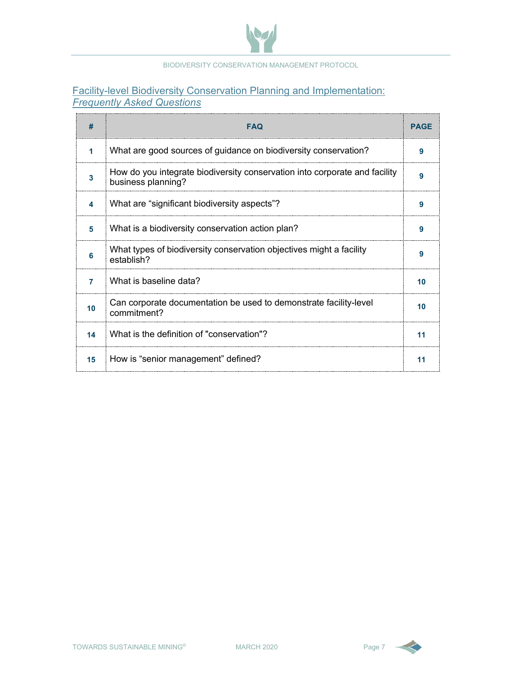

### Facility-level Biodiversity Conservation Planning and Implementation: *Frequently Asked Questions*

| #              | <b>FAQ</b>                                                                                       | <b>PAGE</b> |
|----------------|--------------------------------------------------------------------------------------------------|-------------|
| 1              | What are good sources of guidance on biodiversity conservation?                                  | 9           |
| 3              | How do you integrate biodiversity conservation into corporate and facility<br>business planning? | 9           |
| 4              | What are "significant biodiversity aspects"?                                                     | 9           |
| 5              | What is a biodiversity conservation action plan?                                                 | 9           |
| 6              | What types of biodiversity conservation objectives might a facility<br>establish?                | 9           |
| $\overline{7}$ | What is baseline data?                                                                           | 10          |
| 10             | Can corporate documentation be used to demonstrate facility-level<br>commitment?                 | 10          |
| 14             | What is the definition of "conservation"?                                                        | 11          |
| 15             | How is "senior management" defined?                                                              | 11          |

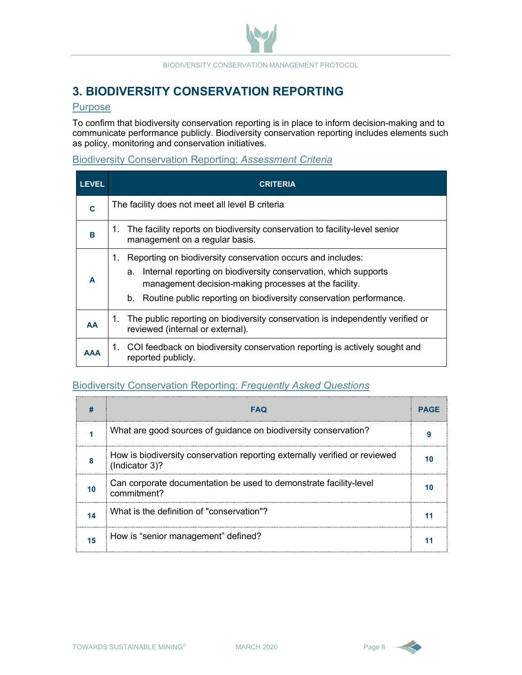# **3. BIODIVERSITY CONSERVATION REPORTING**

#### Purpose

To confirm that biodiversity conservation reporting is in place to inform decision-making and to communicate performance publicly. Biodiversity conservation reporting includes elements such as policy, monitoring and conservation initiatives.

### Biodiversity Conservation Reporting: *Assessment Criteria*

| <b>LEVEL</b> | <b>CRITERIA</b>                                                                                                                                                                                                                                                                 |
|--------------|---------------------------------------------------------------------------------------------------------------------------------------------------------------------------------------------------------------------------------------------------------------------------------|
| C            | The facility does not meet all level B criteria                                                                                                                                                                                                                                 |
| B            | The facility reports on biodiversity conservation to facility-level senior<br>1.<br>management on a regular basis.                                                                                                                                                              |
| A            | Reporting on biodiversity conservation occurs and includes:<br>1.<br>Internal reporting on biodiversity conservation, which supports<br>a.<br>management decision-making processes at the facility.<br>Routine public reporting on biodiversity conservation performance.<br>b. |
| AA           | The public reporting on biodiversity conservation is independently verified or<br>1.<br>reviewed (internal or external).                                                                                                                                                        |
| <b>AAA</b>   | COI feedback on biodiversity conservation reporting is actively sought and<br>1.<br>reported publicly.                                                                                                                                                                          |

## Biodiversity Conservation Reporting: *Frequently Asked Questions*

| <b>FAQ</b>                                                                                   | PAGF |
|----------------------------------------------------------------------------------------------|------|
| What are good sources of guidance on biodiversity conservation?                              |      |
| How is biodiversity conservation reporting externally verified or reviewed<br>(Indicator 3)? |      |
| Can corporate documentation be used to demonstrate facility-level<br>commitment?             |      |
| What is the definition of "conservation"?                                                    |      |
| How is "senior management" defined?                                                          |      |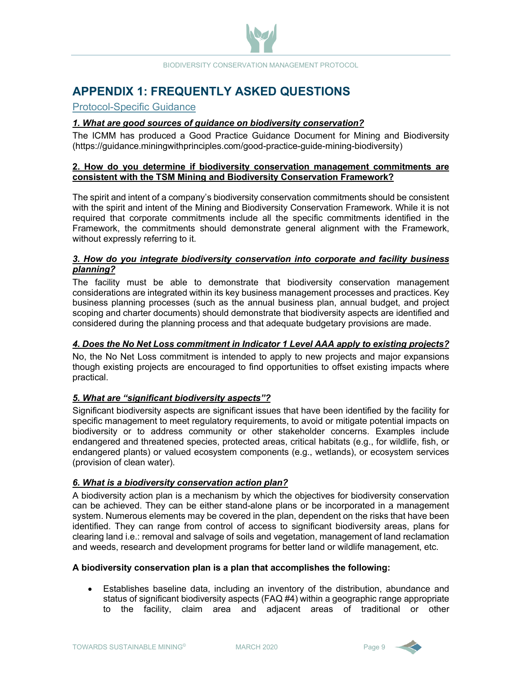# **APPENDIX 1: FREQUENTLY ASKED QUESTIONS**

#### Protocol-Specific Guidance

#### *1. What are good sources of guidance on biodiversity conservation?*

The ICMM has produced a Good Practice Guidance Document for Mining and Biodiversity (https://guidance.miningwithprinciples.com/good-practice-guide-mining-biodiversity)

#### **2. How do you determine if biodiversity conservation management commitments are consistent with the TSM Mining and Biodiversity Conservation Framework?**

The spirit and intent of a company's biodiversity conservation commitments should be consistent with the spirit and intent of the Mining and Biodiversity Conservation Framework. While it is not required that corporate commitments include all the specific commitments identified in the Framework, the commitments should demonstrate general alignment with the Framework, without expressly referring to it.

#### *3. How do you integrate biodiversity conservation into corporate and facility business planning?*

The facility must be able to demonstrate that biodiversity conservation management considerations are integrated within its key business management processes and practices. Key business planning processes (such as the annual business plan, annual budget, and project scoping and charter documents) should demonstrate that biodiversity aspects are identified and considered during the planning process and that adequate budgetary provisions are made.

#### *4. Does the No Net Loss commitment in Indicator 1 Level AAA apply to existing projects?*

No, the No Net Loss commitment is intended to apply to new projects and major expansions though existing projects are encouraged to find opportunities to offset existing impacts where practical.

#### *5. What are "significant biodiversity aspects"?*

Significant biodiversity aspects are significant issues that have been identified by the facility for specific management to meet regulatory requirements, to avoid or mitigate potential impacts on biodiversity or to address community or other stakeholder concerns. Examples include endangered and threatened species, protected areas, critical habitats (e.g., for wildlife, fish, or endangered plants) or valued ecosystem components (e.g., wetlands), or ecosystem services (provision of clean water).

#### *6. What is a biodiversity conservation action plan?*

A biodiversity action plan is a mechanism by which the objectives for biodiversity conservation can be achieved. They can be either stand-alone plans or be incorporated in a management system. Numerous elements may be covered in the plan, dependent on the risks that have been identified. They can range from control of access to significant biodiversity areas, plans for clearing land i.e.: removal and salvage of soils and vegetation, management of land reclamation and weeds, research and development programs for better land or wildlife management, etc.

#### **A biodiversity conservation plan is a plan that accomplishes the following:**

• Establishes baseline data, including an inventory of the distribution, abundance and status of significant biodiversity aspects (FAQ #4) within a geographic range appropriate to the facility, claim area and adjacent areas of traditional or other

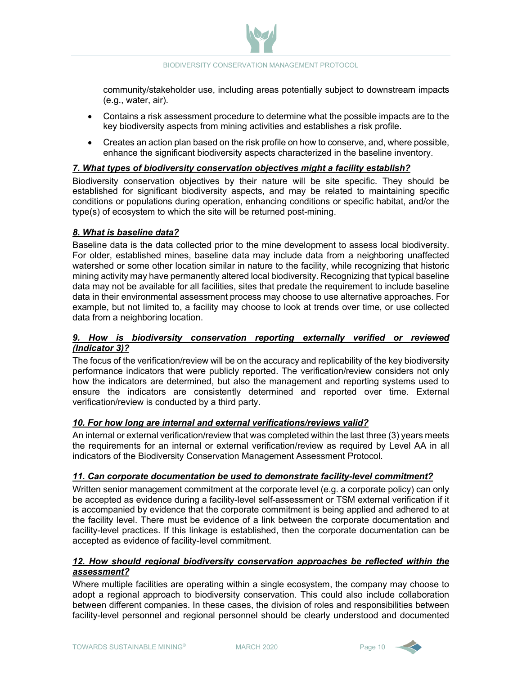community/stakeholder use, including areas potentially subject to downstream impacts (e.g., water, air).

- Contains a risk assessment procedure to determine what the possible impacts are to the key biodiversity aspects from mining activities and establishes a risk profile.
- Creates an action plan based on the risk profile on how to conserve, and, where possible, enhance the significant biodiversity aspects characterized in the baseline inventory.

#### *7. What types of biodiversity conservation objectives might a facility establish?*

Biodiversity conservation objectives by their nature will be site specific. They should be established for significant biodiversity aspects, and may be related to maintaining specific conditions or populations during operation, enhancing conditions or specific habitat, and/or the type(s) of ecosystem to which the site will be returned post-mining.

#### *8. What is baseline data?*

Baseline data is the data collected prior to the mine development to assess local biodiversity. For older, established mines, baseline data may include data from a neighboring unaffected watershed or some other location similar in nature to the facility, while recognizing that historic mining activity may have permanently altered local biodiversity. Recognizing that typical baseline data may not be available for all facilities, sites that predate the requirement to include baseline data in their environmental assessment process may choose to use alternative approaches. For example, but not limited to, a facility may choose to look at trends over time, or use collected data from a neighboring location.

#### *9. How is biodiversity conservation reporting externally verified or reviewed (Indicator 3)?*

The focus of the verification/review will be on the accuracy and replicability of the key biodiversity performance indicators that were publicly reported. The verification/review considers not only how the indicators are determined, but also the management and reporting systems used to ensure the indicators are consistently determined and reported over time. External verification/review is conducted by a third party.

#### *10. For how long are internal and external verifications/reviews valid?*

An internal or external verification/review that was completed within the last three (3) years meets the requirements for an internal or external verification/review as required by Level AA in all indicators of the Biodiversity Conservation Management Assessment Protocol.

#### *11. Can corporate documentation be used to demonstrate facility-level commitment?*

Written senior management commitment at the corporate level (e.g. a corporate policy) can only be accepted as evidence during a facility-level self-assessment or TSM external verification if it is accompanied by evidence that the corporate commitment is being applied and adhered to at the facility level. There must be evidence of a link between the corporate documentation and facility-level practices. If this linkage is established, then the corporate documentation can be accepted as evidence of facility-level commitment.

#### *12. How should regional biodiversity conservation approaches be reflected within the assessment?*

Where multiple facilities are operating within a single ecosystem, the company may choose to adopt a regional approach to biodiversity conservation. This could also include collaboration between different companies. In these cases, the division of roles and responsibilities between facility-level personnel and regional personnel should be clearly understood and documented

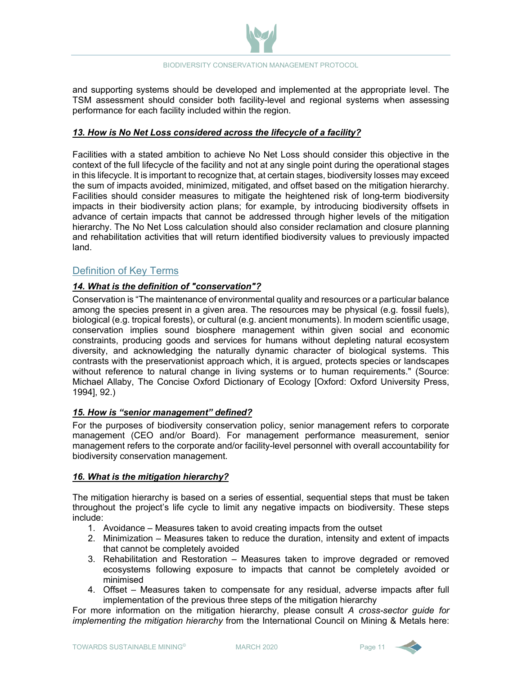

and supporting systems should be developed and implemented at the appropriate level. The TSM assessment should consider both facility-level and regional systems when assessing performance for each facility included within the region.

#### *13. How is No Net Loss considered across the lifecycle of a facility?*

Facilities with a stated ambition to achieve No Net Loss should consider this objective in the context of the full lifecycle of the facility and not at any single point during the operational stages in this lifecycle. It is important to recognize that, at certain stages, biodiversity losses may exceed the sum of impacts avoided, minimized, mitigated, and offset based on the mitigation hierarchy. Facilities should consider measures to mitigate the heightened risk of long-term biodiversity impacts in their biodiversity action plans; for example, by introducing biodiversity offsets in advance of certain impacts that cannot be addressed through higher levels of the mitigation hierarchy. The No Net Loss calculation should also consider reclamation and closure planning and rehabilitation activities that will return identified biodiversity values to previously impacted land.

#### Definition of Key Terms

#### *14. What is the definition of "conservation"?*

Conservation is "The maintenance of environmental quality and resources or a particular balance among the species present in a given area. The resources may be physical (e.g. fossil fuels), biological (e.g. tropical forests), or cultural (e.g. ancient monuments). In modern scientific usage, conservation implies sound biosphere management within given social and economic constraints, producing goods and services for humans without depleting natural ecosystem diversity, and acknowledging the naturally dynamic character of biological systems. This contrasts with the preservationist approach which, it is argued, protects species or landscapes without reference to natural change in living systems or to human requirements." (Source: Michael Allaby, The Concise Oxford Dictionary of Ecology [Oxford: Oxford University Press, 1994], 92.)

#### *15. How is "senior management" defined?*

For the purposes of biodiversity conservation policy, senior management refers to corporate management (CEO and/or Board). For management performance measurement, senior management refers to the corporate and/or facility-level personnel with overall accountability for biodiversity conservation management.

#### *16. What is the mitigation hierarchy?*

The mitigation hierarchy is based on a series of essential, sequential steps that must be taken throughout the project's life cycle to limit any negative impacts on biodiversity. These steps include:

- 1. Avoidance Measures taken to avoid creating impacts from the outset
- 2. Minimization Measures taken to reduce the duration, intensity and extent of impacts that cannot be completely avoided
- 3. Rehabilitation and Restoration Measures taken to improve degraded or removed ecosystems following exposure to impacts that cannot be completely avoided or minimised
- 4. Offset Measures taken to compensate for any residual, adverse impacts after full implementation of the previous three steps of the mitigation hierarchy

For more information on the mitigation hierarchy, please consult *A cross-sector guide for implementing the mitigation hierarchy* from the International Council on Mining & Metals here:

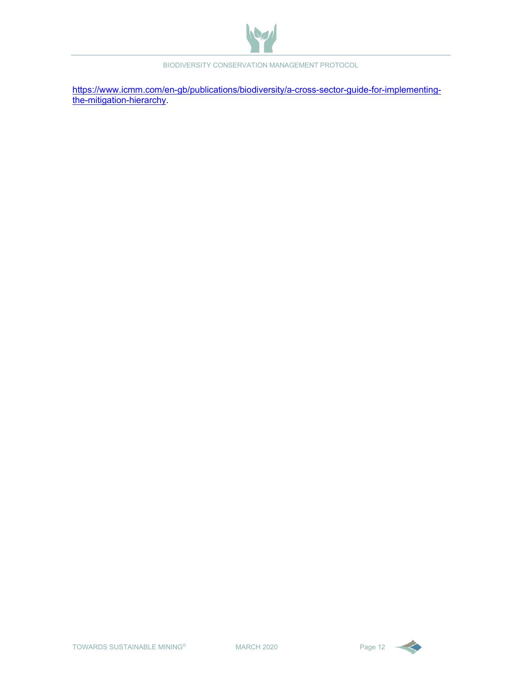

[https://www.icmm.com/en-gb/publications/biodiversity/a-cross-sector-guide-for-implementing](https://www.icmm.com/en-gb/publications/biodiversity/a-cross-sector-guide-for-implementing-the-mitigation-hierarchy)[the-mitigation-hierarchy.](https://www.icmm.com/en-gb/publications/biodiversity/a-cross-sector-guide-for-implementing-the-mitigation-hierarchy)



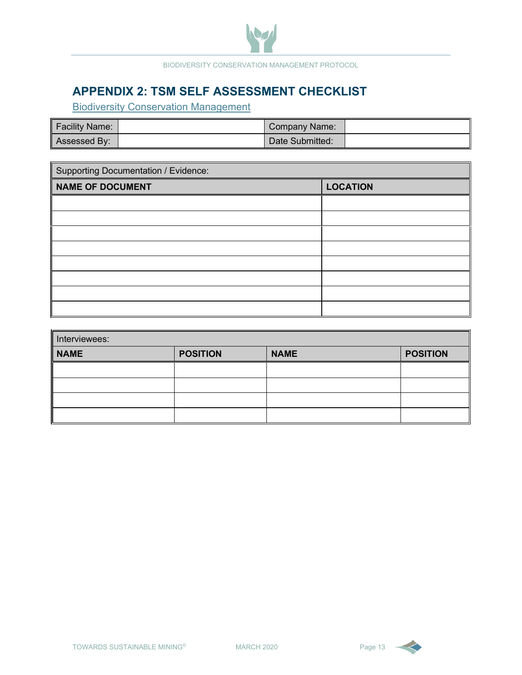

# **APPENDIX 2: TSM SELF ASSESSMENT CHECKLIST**

Biodiversity Conservation Management

 $\overline{a}$ 

| Facility Name: | Company Name:   |  |
|----------------|-----------------|--|
| Assessed By:   | Date Submitted: |  |

| <b>Supporting Documentation / Evidence:</b> |                 |  |  |  |
|---------------------------------------------|-----------------|--|--|--|
| <b>NAME OF DOCUMENT</b>                     | <b>LOCATION</b> |  |  |  |
|                                             |                 |  |  |  |
|                                             |                 |  |  |  |
|                                             |                 |  |  |  |
|                                             |                 |  |  |  |
|                                             |                 |  |  |  |
|                                             |                 |  |  |  |
|                                             |                 |  |  |  |
|                                             |                 |  |  |  |

| Interviewees: |                 |             |                 |  |  |  |
|---------------|-----------------|-------------|-----------------|--|--|--|
| <b>NAME</b>   | <b>POSITION</b> | <b>NAME</b> | <b>POSITION</b> |  |  |  |
|               |                 |             |                 |  |  |  |
|               |                 |             |                 |  |  |  |
|               |                 |             |                 |  |  |  |
|               |                 |             |                 |  |  |  |

 $\overline{\phantom{a}}$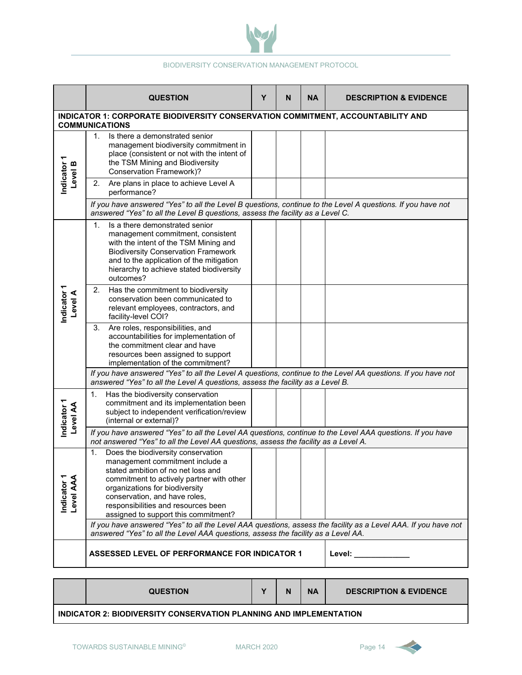

|                                                                                                          | <b>QUESTION</b>                                                                                                                                                                                                                                                                                                  | Y | N | <b>NA</b> | <b>DESCRIPTION &amp; EVIDENCE</b> |  |
|----------------------------------------------------------------------------------------------------------|------------------------------------------------------------------------------------------------------------------------------------------------------------------------------------------------------------------------------------------------------------------------------------------------------------------|---|---|-----------|-----------------------------------|--|
| INDICATOR 1: CORPORATE BIODIVERSITY CONSERVATION COMMITMENT, ACCOUNTABILITY AND<br><b>COMMUNICATIONS</b> |                                                                                                                                                                                                                                                                                                                  |   |   |           |                                   |  |
| Indicator<br>Level B                                                                                     | Is there a demonstrated senior<br>1.<br>management biodiversity commitment in<br>place (consistent or not with the intent of<br>the TSM Mining and Biodiversity<br><b>Conservation Framework)?</b>                                                                                                               |   |   |           |                                   |  |
|                                                                                                          | Are plans in place to achieve Level A<br>2.<br>performance?                                                                                                                                                                                                                                                      |   |   |           |                                   |  |
|                                                                                                          | If you have answered "Yes" to all the Level B questions, continue to the Level A questions. If you have not<br>answered "Yes" to all the Level B questions, assess the facility as a Level C.                                                                                                                    |   |   |           |                                   |  |
|                                                                                                          | 1 <sub>1</sub><br>Is a there demonstrated senior<br>management commitment, consistent<br>with the intent of the TSM Mining and<br><b>Biodiversity Conservation Framework</b><br>and to the application of the mitigation<br>hierarchy to achieve stated biodiversity<br>outcomes?                                |   |   |           |                                   |  |
| Indicator<br>Level A                                                                                     | 2.<br>Has the commitment to biodiversity<br>conservation been communicated to<br>relevant employees, contractors, and<br>facility-level COI?                                                                                                                                                                     |   |   |           |                                   |  |
|                                                                                                          | Are roles, responsibilities, and<br>3.<br>accountabilities for implementation of<br>the commitment clear and have<br>resources been assigned to support<br>implementation of the commitment?                                                                                                                     |   |   |           |                                   |  |
|                                                                                                          | If you have answered "Yes" to all the Level A questions, continue to the Level AA questions. If you have not<br>answered "Yes" to all the Level A questions, assess the facility as a Level B.                                                                                                                   |   |   |           |                                   |  |
| Indicator 1<br>Level AA                                                                                  | Has the biodiversity conservation<br>1.<br>commitment and its implementation been<br>subject to independent verification/review<br>(internal or external)?                                                                                                                                                       |   |   |           |                                   |  |
|                                                                                                          | If you have answered "Yes" to all the Level AA questions, continue to the Level AAA questions. If you have<br>not answered "Yes" to all the Level AA questions, assess the facility as a Level A.                                                                                                                |   |   |           |                                   |  |
| Level AAA<br>Indicator                                                                                   | Does the biodiversity conservation<br>1.<br>management commitment include a<br>stated ambition of no net loss and<br>commitment to actively partner with other<br>organizations for biodiversity<br>conservation, and have roles,<br>responsibilities and resources been<br>assigned to support this commitment? |   |   |           |                                   |  |
|                                                                                                          | If you have answered "Yes" to all the Level AAA questions, assess the facility as a Level AAA. If you have not<br>answered "Yes" to all the Level AAA questions, assess the facility as a Level AA.                                                                                                              |   |   |           |                                   |  |
|                                                                                                          | <b>ASSESSED LEVEL OF PERFORMANCE FOR INDICATOR 1</b><br>Level: <b>All According to the US</b>                                                                                                                                                                                                                    |   |   |           |                                   |  |
|                                                                                                          | <b>QUESTION</b>                                                                                                                                                                                                                                                                                                  | Y | N | <b>NA</b> | <b>DESCRIPTION &amp; EVIDENCE</b> |  |

#### **INDICATOR 2: BIODIVERSITY CONSERVATION PLANNING AND IMPLEMENTATION**

<u> La Carlo de la Carlo de la Carlo de la Carlo de la Carlo de la Carlo de la Carlo de la Carlo de la Carlo de l</u>

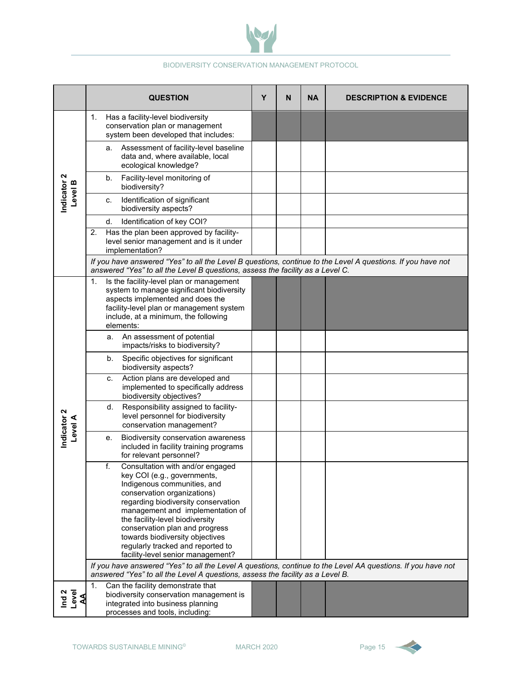

|                                   | <b>QUESTION</b>                                                                                                                                                                                                                                                                                                                                                                                  | Y | N | <b>NA</b> | <b>DESCRIPTION &amp; EVIDENCE</b> |
|-----------------------------------|--------------------------------------------------------------------------------------------------------------------------------------------------------------------------------------------------------------------------------------------------------------------------------------------------------------------------------------------------------------------------------------------------|---|---|-----------|-----------------------------------|
|                                   | Has a facility-level biodiversity<br>1.<br>conservation plan or management<br>system been developed that includes:                                                                                                                                                                                                                                                                               |   |   |           |                                   |
|                                   | Assessment of facility-level baseline<br>a.<br>data and, where available, local<br>ecological knowledge?                                                                                                                                                                                                                                                                                         |   |   |           |                                   |
| Indicator <sub>2</sub><br>Level B | Facility-level monitoring of<br>b.<br>biodiversity?                                                                                                                                                                                                                                                                                                                                              |   |   |           |                                   |
|                                   | Identification of significant<br>c.<br>biodiversity aspects?                                                                                                                                                                                                                                                                                                                                     |   |   |           |                                   |
|                                   | d.<br>Identification of key COI?                                                                                                                                                                                                                                                                                                                                                                 |   |   |           |                                   |
|                                   | Has the plan been approved by facility-<br>2.<br>level senior management and is it under<br>implementation?                                                                                                                                                                                                                                                                                      |   |   |           |                                   |
|                                   | If you have answered "Yes" to all the Level B questions, continue to the Level A questions. If you have not<br>answered "Yes" to all the Level B questions, assess the facility as a Level C.                                                                                                                                                                                                    |   |   |           |                                   |
|                                   | Is the facility-level plan or management<br>1.<br>system to manage significant biodiversity<br>aspects implemented and does the<br>facility-level plan or management system<br>include, at a minimum, the following<br>elements:                                                                                                                                                                 |   |   |           |                                   |
|                                   | An assessment of potential<br>а.<br>impacts/risks to biodiversity?                                                                                                                                                                                                                                                                                                                               |   |   |           |                                   |
|                                   | Specific objectives for significant<br>b.<br>biodiversity aspects?                                                                                                                                                                                                                                                                                                                               |   |   |           |                                   |
|                                   | Action plans are developed and<br>C.<br>implemented to specifically address<br>biodiversity objectives?                                                                                                                                                                                                                                                                                          |   |   |           |                                   |
| Indicator <sub>2</sub><br>Level A | Responsibility assigned to facility-<br>d.<br>level personnel for biodiversity<br>conservation management?                                                                                                                                                                                                                                                                                       |   |   |           |                                   |
|                                   | Biodiversity conservation awareness<br>е.<br>included in facility training programs<br>for relevant personnel?                                                                                                                                                                                                                                                                                   |   |   |           |                                   |
|                                   | Consultation with and/or engaged<br>f.<br>key COI (e.g., governments,<br>Indigenous communities, and<br>conservation organizations)<br>regarding biodiversity conservation<br>management and implementation of<br>the facility-level biodiversity<br>conservation plan and progress<br>towards biodiversity objectives<br>regularly tracked and reported to<br>facility-level senior management? |   |   |           |                                   |
|                                   | If you have answered "Yes" to all the Level A questions, continue to the Level AA questions. If you have not<br>answered "Yes" to all the Level A questions, assess the facility as a Level B.                                                                                                                                                                                                   |   |   |           |                                   |
| Ind 2<br>Level<br>AA              | Can the facility demonstrate that<br>1.<br>biodiversity conservation management is<br>integrated into business planning<br>processes and tools, including:                                                                                                                                                                                                                                       |   |   |           |                                   |

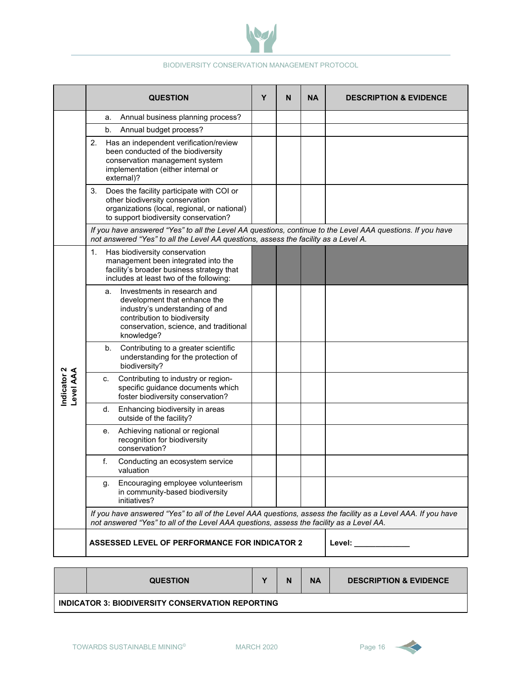

|                          | <b>QUESTION</b>                                                                                                                                                                                           |  | N | <b>NA</b> | <b>DESCRIPTION &amp; EVIDENCE</b>     |
|--------------------------|-----------------------------------------------------------------------------------------------------------------------------------------------------------------------------------------------------------|--|---|-----------|---------------------------------------|
|                          | Annual business planning process?<br>а.                                                                                                                                                                   |  |   |           |                                       |
|                          | b.<br>Annual budget process?                                                                                                                                                                              |  |   |           |                                       |
|                          | 2.<br>Has an independent verification/review<br>been conducted of the biodiversity<br>conservation management system<br>implementation (either internal or<br>external)?                                  |  |   |           |                                       |
|                          | 3.<br>Does the facility participate with COI or<br>other biodiversity conservation<br>organizations (local, regional, or national)<br>to support biodiversity conservation?                               |  |   |           |                                       |
|                          | If you have answered "Yes" to all the Level AA questions, continue to the Level AAA questions. If you have<br>not answered "Yes" to all the Level AA questions, assess the facility as a Level A.         |  |   |           |                                       |
|                          | 1.<br>Has biodiversity conservation<br>management been integrated into the<br>facility's broader business strategy that<br>includes at least two of the following:                                        |  |   |           |                                       |
|                          | Investments in research and<br>а.<br>development that enhance the<br>industry's understanding of and<br>contribution to biodiversity<br>conservation, science, and traditional<br>knowledge?              |  |   |           |                                       |
|                          | Contributing to a greater scientific<br>b.<br>understanding for the protection of<br>biodiversity?                                                                                                        |  |   |           |                                       |
| Indicator 2<br>Level AAA | Contributing to industry or region-<br>C.<br>specific guidance documents which<br>foster biodiversity conservation?                                                                                       |  |   |           |                                       |
|                          | Enhancing biodiversity in areas<br>d.<br>outside of the facility?                                                                                                                                         |  |   |           |                                       |
|                          | Achieving national or regional<br>е.<br>recognition for biodiversity<br>conservation?                                                                                                                     |  |   |           |                                       |
|                          | f.<br>Conducting an ecosystem service<br>valuation                                                                                                                                                        |  |   |           |                                       |
|                          | Encouraging employee volunteerism<br>g.<br>in community-based biodiversity<br>initiatives?                                                                                                                |  |   |           |                                       |
|                          | If you have answered "Yes" to all of the Level AAA questions, assess the facility as a Level AAA. If you have<br>not answered "Yes" to all of the Level AAA questions, assess the facility as a Level AA. |  |   |           |                                       |
|                          | <b>ASSESSED LEVEL OF PERFORMANCE FOR INDICATOR 2</b>                                                                                                                                                      |  |   |           | Level: <b>All According to the US</b> |
|                          |                                                                                                                                                                                                           |  |   |           |                                       |

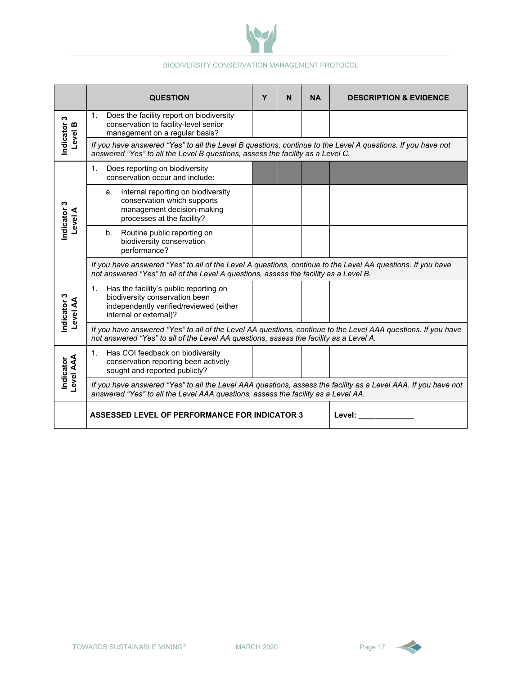

|                               | <b>QUESTION</b>                                                                                                                                                                                         | Υ | N | <b>NA</b> | <b>DESCRIPTION &amp; EVIDENCE</b> |
|-------------------------------|---------------------------------------------------------------------------------------------------------------------------------------------------------------------------------------------------------|---|---|-----------|-----------------------------------|
| ω<br>Indicator<br>m<br>Level  | Does the facility report on biodiversity<br>1.<br>conservation to facility-level senior<br>management on a regular basis?                                                                               |   |   |           |                                   |
|                               | If you have answered "Yes" to all the Level B questions, continue to the Level A questions. If you have not<br>answered "Yes" to all the Level B questions, assess the facility as a Level C.           |   |   |           |                                   |
| Indicator 3<br><b>A</b> level | Does reporting on biodiversity<br>1.<br>conservation occur and include:                                                                                                                                 |   |   |           |                                   |
|                               | Internal reporting on biodiversity<br>a.<br>conservation which supports<br>management decision-making<br>processes at the facility?                                                                     |   |   |           |                                   |
|                               | Routine public reporting on<br>b.<br>biodiversity conservation<br>performance?                                                                                                                          |   |   |           |                                   |
|                               | If you have answered "Yes" to all of the Level A questions, continue to the Level AA questions. If you have<br>not answered "Yes" to all of the Level A questions, assess the facility as a Level B.    |   |   |           |                                   |
| Indicator 3<br>Level AA       | Has the facility's public reporting on<br>1.<br>biodiversity conservation been<br>independently verified/reviewed (either<br>internal or external)?                                                     |   |   |           |                                   |
|                               | If you have answered "Yes" to all of the Level AA questions, continue to the Level AAA questions. If you have<br>not answered "Yes" to all of the Level AA questions, assess the facility as a Level A. |   |   |           |                                   |
| Indicator<br>Level AAA        | Has COI feedback on biodiversity<br>1.<br>conservation reporting been actively<br>sought and reported publicly?                                                                                         |   |   |           |                                   |
|                               | If you have answered "Yes" to all the Level AAA questions, assess the facility as a Level AAA. If you have not<br>answered "Yes" to all the Level AAA questions, assess the facility as a Level AA.     |   |   |           |                                   |
|                               | <b>ASSESSED LEVEL OF PERFORMANCE FOR INDICATOR 3</b>                                                                                                                                                    |   |   |           | Level:                            |